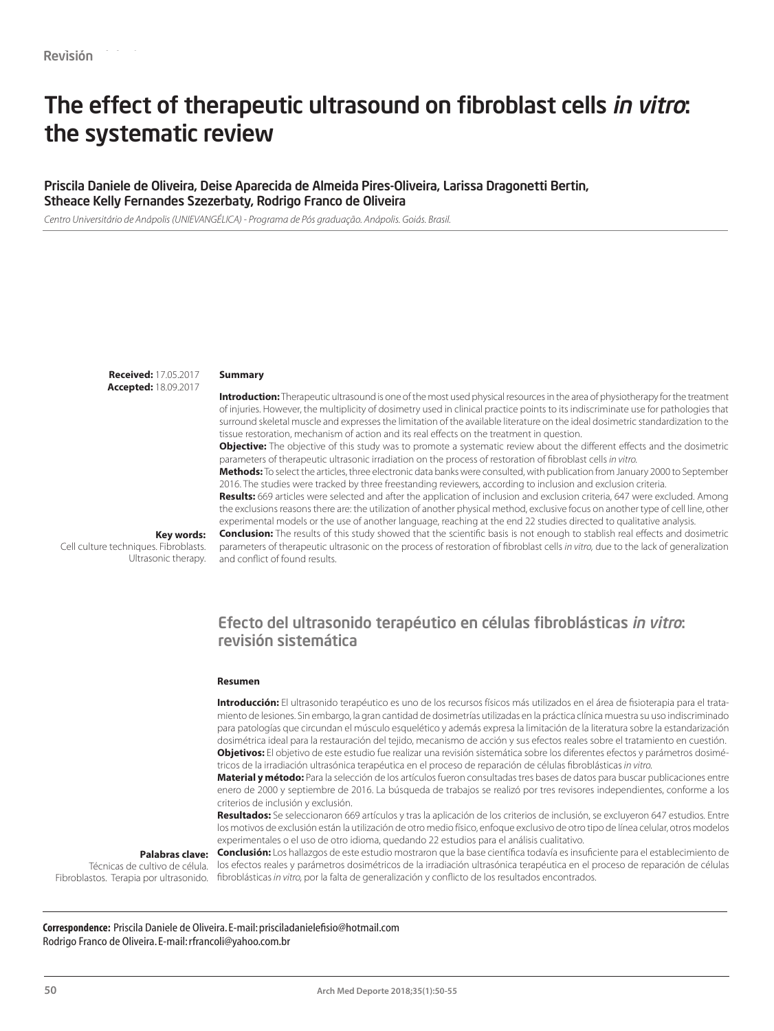# The effect of therapeutic ultrasound on fibroblast cells in vitro: the systematic review

#### Priscila Daniele de Oliveira, Deise Aparecida de Almeida Pires-Oliveira, Larissa Dragonetti Bertin, Stheace Kelly Fernandes Szezerbaty, Rodrigo Franco de Oliveira

*Centro Universitário de Anápolis (UNIEVANGÉLICA) - Programa de Pós graduação. Anápolis. Goiás. Brasil.*

**Received:** 17.05.2017 **Accepted:** 18.09.2017

#### **Summary**

**Introduction:** Therapeutic ultrasound is one of the most used physical resources in the area of physiotherapy for the treatment of injuries. However, the multiplicity of dosimetry used in clinical practice points to its indiscriminate use for pathologies that surround skeletal muscle and expresses the limitation of the available literature on the ideal dosimetric standardization to the tissue restoration, mechanism of action and its real effects on the treatment in question.

**Objective:** The objective of this study was to promote a systematic review about the different effects and the dosimetric parameters of therapeutic ultrasonic irradiation on the process of restoration of fibroblast cells *in vitro.* 

**Methods:** To select the articles, three electronic data banks were consulted, with publication from January 2000 to September 2016. The studies were tracked by three freestanding reviewers, according to inclusion and exclusion criteria.

**Results:** 669 articles were selected and after the application of inclusion and exclusion criteria, 647 were excluded. Among the exclusions reasons there are: the utilization of another physical method, exclusive focus on another type of cell line, other experimental models or the use of another language, reaching at the end 22 studies directed to qualitative analysis.

**Key words:**  Cell culture techniques. Fibroblasts. Ultrasonic therapy.

**Conclusion:** The results of this study showed that the scientific basis is not enough to stablish real effects and dosimetric parameters of therapeutic ultrasonic on the process of restoration of fibroblast cells *in vitro,* due to the lack of generalization and conflict of found results.

### Efecto del ultrasonido terapéutico en células fibroblásticas in vitro: revisión sistemática

#### **Resumen**

**Introducción:** El ultrasonido terapéutico es uno de los recursos físicos más utilizados en el área de fisioterapia para el tratamiento de lesiones. Sin embargo, la gran cantidad de dosimetrías utilizadas en la práctica clínica muestra su uso indiscriminado para patologías que circundan el músculo esquelético y además expresa la limitación de la literatura sobre la estandarización dosimétrica ideal para la restauración del tejido, mecanismo de acción y sus efectos reales sobre el tratamiento en cuestión. **Objetivos:** El objetivo de este estudio fue realizar una revisión sistemática sobre los diferentes efectos y parámetros dosimétricos de la irradiación ultrasónica terapéutica en el proceso de reparación de células fibroblásticas *in vitro.* 

**Material y método:** Para la selección de los artículos fueron consultadas tres bases de datos para buscar publicaciones entre enero de 2000 y septiembre de 2016. La búsqueda de trabajos se realizó por tres revisores independientes, conforme a los criterios de inclusión y exclusión.

**Resultados:** Se seleccionaron 669 artículos y tras la aplicación de los criterios de inclusión, se excluyeron 647 estudios. Entre los motivos de exclusión están la utilización de otro medio físico, enfoque exclusivo de otro tipo de línea celular, otros modelos experimentales o el uso de otro idioma, quedando 22 estudios para el análisis cualitativo.

#### **Palabras clave:**

Técnicas de cultivo de célula. Fibroblastos. Terapia por ultrasonido.

**Conclusión:** Los hallazgos de este estudio mostraron que la base científica todavía es insuficiente para el establecimiento de los efectos reales y parámetros dosimétricos de la irradiación ultrasónica terapéutica en el proceso de reparación de células fibroblásticas *in vitro,* por la falta de generalización y conflicto de los resultados encontrados.

**Correspondence:** Priscila Daniele de Oliveira. E-mail: prisciladanielefisio@hotmail.com Rodrigo Franco de Oliveira. E-mail: rfrancoli@yahoo.com.br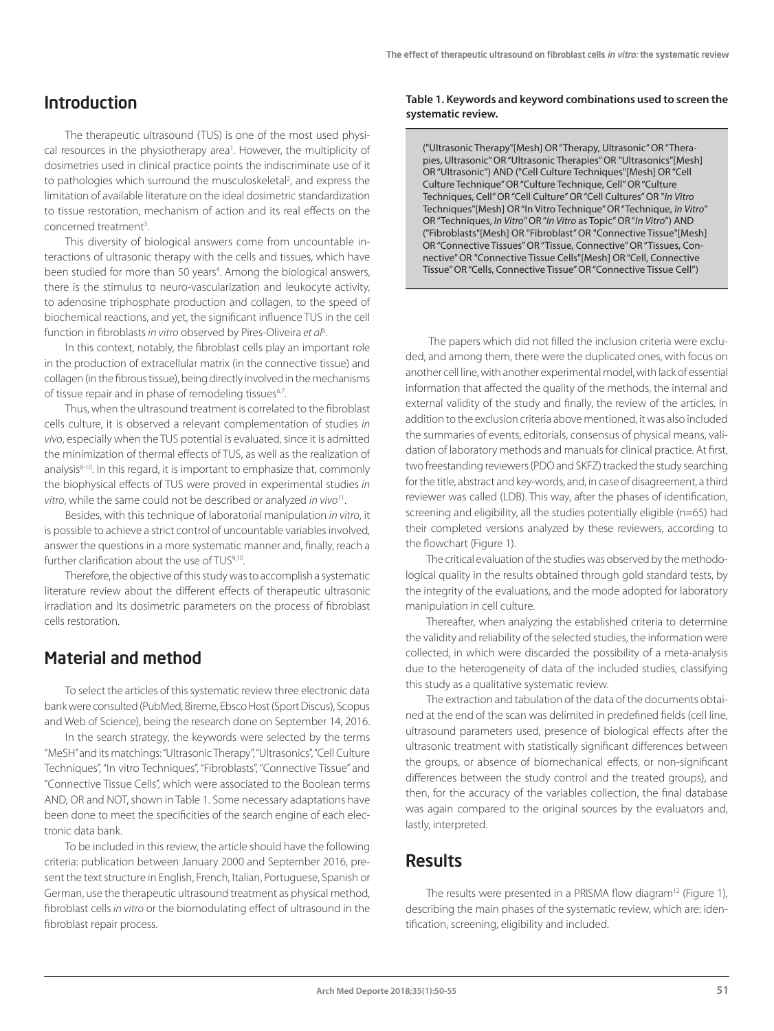## Introduction

The therapeutic ultrasound (TUS) is one of the most used physical resources in the physiotherapy area<sup>1</sup>. However, the multiplicity of dosimetries used in clinical practice points the indiscriminate use of it to pathologies which surround the musculoskeletal<sup>2</sup>, and express the limitation of available literature on the ideal dosimetric standardization to tissue restoration, mechanism of action and its real effects on the concerned treatment<sup>3</sup>.

This diversity of biological answers come from uncountable interactions of ultrasonic therapy with the cells and tissues, which have been studied for more than 50 years<sup>4</sup>. Among the biological answers, there is the stimulus to neuro-vascularization and leukocyte activity, to adenosine triphosphate production and collagen, to the speed of biochemical reactions, and yet, the significant influence TUS in the cell function in fibroblasts *in vitro* observed by Pires-Oliveira *et al*<sup>5</sup> .

In this context, notably, the fibroblast cells play an important role in the production of extracellular matrix (in the connective tissue) and collagen (in the fibrous tissue), being directly involved in the mechanisms of tissue repair and in phase of remodeling tissues<sup>6,7</sup>.

Thus, when the ultrasound treatment is correlated to the fibroblast cells culture, it is observed a relevant complementation of studies *in vivo*, especially when the TUS potential is evaluated, since it is admitted the minimization of thermal effects of TUS, as well as the realization of analysis<sup>8-10</sup>. In this regard, it is important to emphasize that, commonly the biophysical effects of TUS were proved in experimental studies *in vitro*, while the same could not be described or analyzed *in vivo*11.

Besides, with this technique of laboratorial manipulation *in vitro*, it is possible to achieve a strict control of uncountable variables involved, answer the questions in a more systematic manner and, finally, reach a further clarification about the use of TUS<sup>9,10</sup>.

Therefore, the objective of this study was to accomplish a systematic literature review about the different effects of therapeutic ultrasonic irradiation and its dosimetric parameters on the process of fibroblast cells restoration.

### Material and method

To select the articles of this systematic review three electronic data bank were consulted (PubMed, Bireme, Ebsco Host (Sport Discus), Scopus and Web of Science), being the research done on September 14, 2016.

In the search strategy, the keywords were selected by the terms "MeSH" and its matchings: "Ultrasonic Therapy", "Ultrasonics", "Cell Culture Techniques", "In vitro Techniques", "Fibroblasts", "Connective Tissue" and "Connective Tissue Cells", which were associated to the Boolean terms AND, OR and NOT, shown in Table 1. Some necessary adaptations have been done to meet the specificities of the search engine of each electronic data bank.

To be included in this review, the article should have the following criteria: publication between January 2000 and September 2016, present the text structure in English, French, Italian, Portuguese, Spanish or German, use the therapeutic ultrasound treatment as physical method, fibroblast cells *in vitro* or the biomodulating effect of ultrasound in the fibroblast repair process.

#### **Table 1. Keywords and keyword combinations used to screen the systematic review.**

("Ultrasonic Therapy"[Mesh] OR "Therapy, Ultrasonic" OR "Therapies, Ultrasonic" OR "Ultrasonic Therapies" OR "Ultrasonics"[Mesh] OR "Ultrasonic") AND ("Cell Culture Techniques"[Mesh] OR "Cell Culture Technique" OR "Culture Technique, Cell" OR "Culture Techniques, Cell" OR "Cell Culture" OR "Cell Cultures" OR "*In Vitro* Techniques"[Mesh] OR "In Vitro Technique" OR "Technique, *In Vitro*" OR "Techniques, *In Vitro*" OR "*In Vitro* as Topic" OR "*In Vitro*") AND ("Fibroblasts"[Mesh] OR "Fibroblast" OR "Connective Tissue"[Mesh] OR "Connective Tissues" OR "Tissue, Connective" OR "Tissues, Connective" OR "Connective Tissue Cells"[Mesh] OR "Cell, Connective Tissue" OR "Cells, Connective Tissue" OR "Connective Tissue Cell")

 The papers which did not filled the inclusion criteria were excluded, and among them, there were the duplicated ones, with focus on another cell line, with another experimental model, with lack of essential information that affected the quality of the methods, the internal and external validity of the study and finally, the review of the articles. In addition to the exclusion criteria above mentioned, it was also included the summaries of events, editorials, consensus of physical means, validation of laboratory methods and manuals for clinical practice. At first, two freestanding reviewers (PDO and SKFZ) tracked the study searching for the title, abstract and key-words, and, in case of disagreement, a third reviewer was called (LDB). This way, after the phases of identification, screening and eligibility, all the studies potentially eligible (n=65) had their completed versions analyzed by these reviewers, according to the flowchart (Figure 1).

The critical evaluation of the studies was observed by the methodological quality in the results obtained through gold standard tests, by the integrity of the evaluations, and the mode adopted for laboratory manipulation in cell culture.

Thereafter, when analyzing the established criteria to determine the validity and reliability of the selected studies, the information were collected, in which were discarded the possibility of a meta-analysis due to the heterogeneity of data of the included studies, classifying this study as a qualitative systematic review.

The extraction and tabulation of the data of the documents obtained at the end of the scan was delimited in predefined fields (cell line, ultrasound parameters used, presence of biological effects after the ultrasonic treatment with statistically significant differences between the groups, or absence of biomechanical effects, or non-significant differences between the study control and the treated groups), and then, for the accuracy of the variables collection, the final database was again compared to the original sources by the evaluators and, lastly, interpreted.

### Results

The results were presented in a PRISMA flow diagram<sup>12</sup> (Figure 1), describing the main phases of the systematic review, which are: identification, screening, eligibility and included.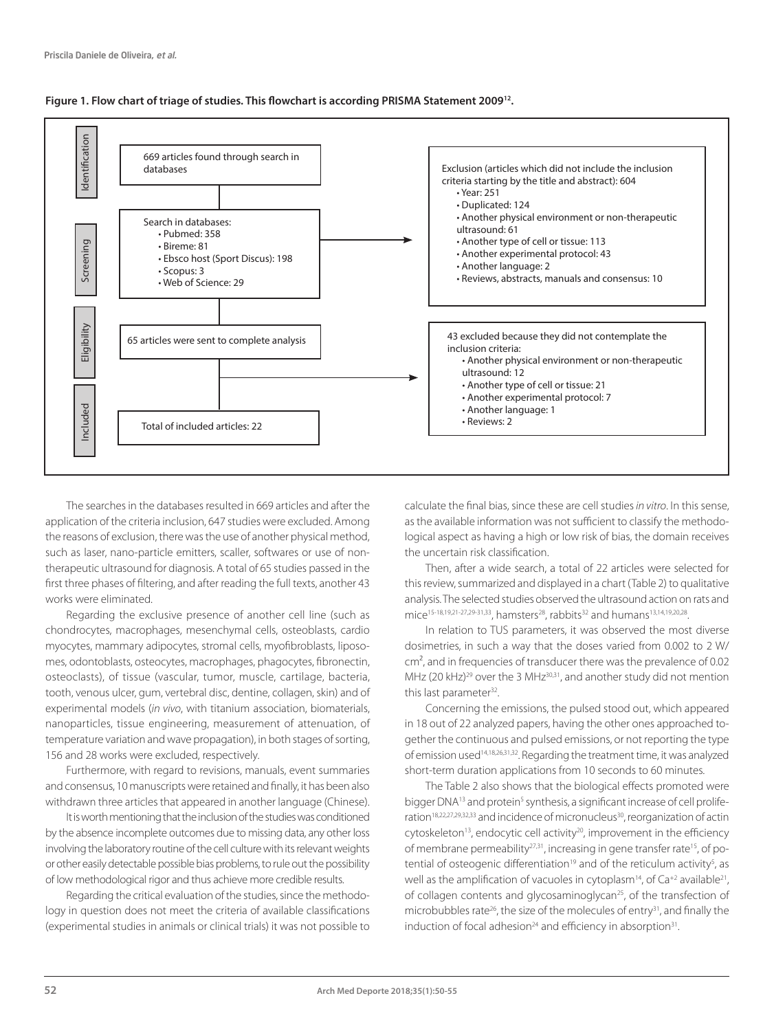



The searches in the databases resulted in 669 articles and after the application of the criteria inclusion, 647 studies were excluded. Among the reasons of exclusion, there was the use of another physical method, such as laser, nano-particle emitters, scaller, softwares or use of nontherapeutic ultrasound for diagnosis. A total of 65 studies passed in the first three phases of filtering, and after reading the full texts, another 43 works were eliminated.

Regarding the exclusive presence of another cell line (such as chondrocytes, macrophages, mesenchymal cells, osteoblasts, cardio myocytes, mammary adipocytes, stromal cells, myofibroblasts, liposomes, odontoblasts, osteocytes, macrophages, phagocytes, fibronectin, osteoclasts), of tissue (vascular, tumor, muscle, cartilage, bacteria, tooth, venous ulcer, gum, vertebral disc, dentine, collagen, skin) and of experimental models (*in vivo*, with titanium association, biomaterials, nanoparticles, tissue engineering, measurement of attenuation, of temperature variation and wave propagation), in both stages of sorting, 156 and 28 works were excluded, respectively.

Furthermore, with regard to revisions, manuals, event summaries and consensus, 10 manuscripts were retained and finally, it has been also withdrawn three articles that appeared in another language (Chinese).

It is worth mentioning that the inclusion of the studies was conditioned by the absence incomplete outcomes due to missing data, any other loss involving the laboratory routine of the cell culture with its relevant weights or other easily detectable possible bias problems, to rule out the possibility of low methodological rigor and thus achieve more credible results.

Regarding the critical evaluation of the studies, since the methodology in question does not meet the criteria of available classifications (experimental studies in animals or clinical trials) it was not possible to

calculate the final bias, since these are cell studies *in vitro*. In this sense, as the available information was not sufficient to classify the methodological aspect as having a high or low risk of bias, the domain receives the uncertain risk classification.

Then, after a wide search, a total of 22 articles were selected for this review, summarized and displayed in a chart (Table 2) to qualitative analysis. The selected studies observed the ultrasound action on rats and mice<sup>15-18,19,21-27,29-31,33</sup>, hamsters<sup>28</sup>, rabbits<sup>32</sup> and humans<sup>13,14,19,20,28</sup>.

In relation to TUS parameters, it was observed the most diverse dosimetries, in such a way that the doses varied from 0.002 to 2 W/ cm², and in frequencies of transducer there was the prevalence of 0.02 MHz (20 kHz)<sup>29</sup> over the 3 MHz<sup>30,31</sup>, and another study did not mention this last parameter<sup>32</sup>.

Concerning the emissions, the pulsed stood out, which appeared in 18 out of 22 analyzed papers, having the other ones approached together the continuous and pulsed emissions, or not reporting the type of emission used14,18,26,31,32. Regarding the treatment time, it was analyzed short-term duration applications from 10 seconds to 60 minutes.

The Table 2 also shows that the biological effects promoted were bigger DNA<sup>13</sup> and protein<sup>5</sup> synthesis, a significant increase of cell proliferation<sup>18,22,27,29,32,33</sup> and incidence of micronucleus<sup>30</sup>, reorganization of actin cytoskeleton<sup>13</sup>, endocytic cell activity<sup>20</sup>, improvement in the efficiency of membrane permeability<sup>27,31</sup>, increasing in gene transfer rate<sup>15</sup>, of potential of osteogenic differentiation<sup>19</sup> and of the reticulum activity<sup>5</sup>, as well as the amplification of vacuoles in cytoplasm<sup>14</sup>, of Ca<sup>+2</sup> available<sup>21</sup>, of collagen contents and glycosaminoglycan<sup>25</sup>, of the transfection of microbubbles rate<sup>26</sup>, the size of the molecules of entry<sup>31</sup>, and finally the induction of focal adhesion<sup>24</sup> and efficiency in absorption<sup>31</sup>.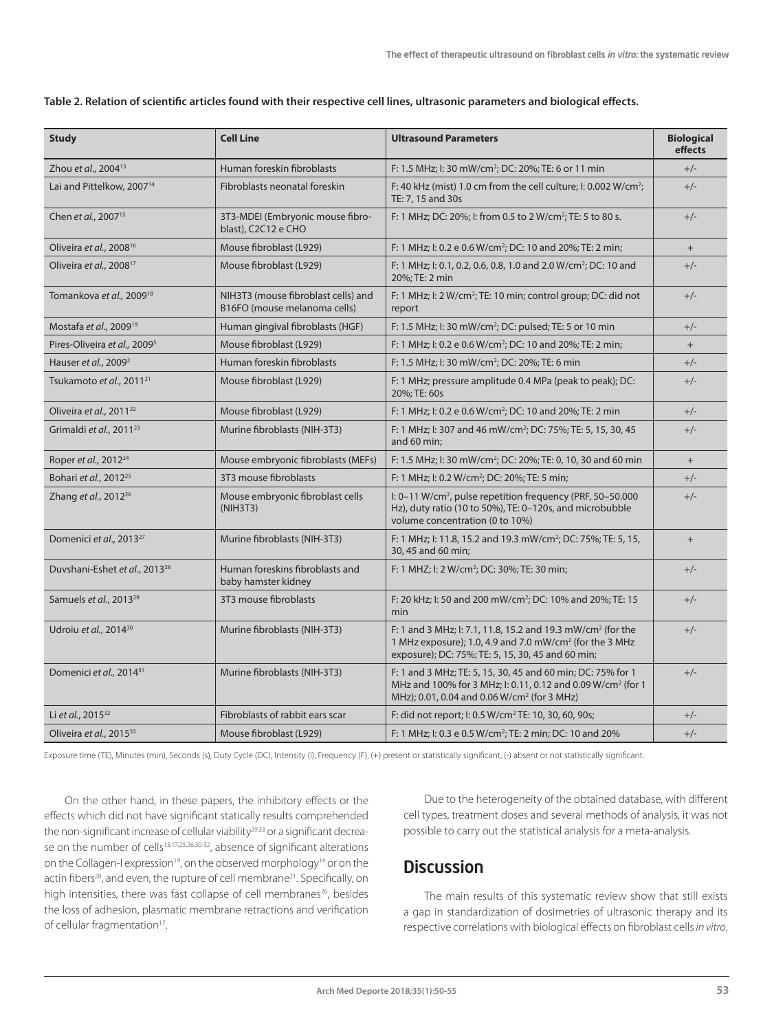| <b>Study</b>                                 | <b>Cell Line</b>                                                    | <b>Ultrasound Parameters</b>                                                                                                                                                                        | <b>Biological</b><br>effects |
|----------------------------------------------|---------------------------------------------------------------------|-----------------------------------------------------------------------------------------------------------------------------------------------------------------------------------------------------|------------------------------|
| Zhou et al., 2004 <sup>13</sup>              | Human foreskin fibroblasts                                          | F: 1.5 MHz; I: 30 mW/cm <sup>2</sup> ; DC: 20%; TE: 6 or 11 min                                                                                                                                     | $+/-$                        |
| Lai and Pittelkow, 2007 <sup>14</sup>        | Fibroblasts neonatal foreskin                                       | F: 40 kHz (mist) 1.0 cm from the cell culture; I: 0.002 W/cm <sup>2</sup> ;<br>TE: 7, 15 and 30s                                                                                                    | $+/-$                        |
| Chen et al., 2007 <sup>15</sup>              | 3T3-MDEI (Embryonic mouse fibro-<br>blast), C2C12 e CHO             | F: 1 MHz; DC: 20%; I: from 0.5 to 2 W/cm <sup>2</sup> ; TE: 5 to 80 s.                                                                                                                              | $+/-$                        |
| Oliveira et al., 2008 <sup>16</sup>          | Mouse fibroblast (L929)                                             | F: 1 MHz; I: 0.2 e 0.6 W/cm <sup>2</sup> ; DC: 10 and 20%; TE: 2 min;                                                                                                                               | $\qquad \qquad +$            |
| Oliveira et al., 2008 <sup>17</sup>          | Mouse fibroblast (L929)                                             | F: 1 MHz; I: 0.1, 0.2, 0.6, 0.8, 1.0 and 2.0 W/cm <sup>2</sup> ; DC: 10 and<br>20%; TE: 2 min                                                                                                       | $+/-$                        |
| Tomankova et al., 2009 <sup>18</sup>         | NIH3T3 (mouse fibroblast cells) and<br>B16FO (mouse melanoma cells) | F: 1 MHz; I: 2 W/cm <sup>2</sup> ; TE: 10 min; control group; DC: did not<br>report                                                                                                                 | $+/-$                        |
| Mostafa et al., 2009 <sup>19</sup>           | Human gingival fibroblasts (HGF)                                    | F: 1.5 MHz; I: 30 mW/cm <sup>2</sup> ; DC: pulsed; TE: 5 or 10 min                                                                                                                                  | $+/-$                        |
| Pires-Oliveira et al., 2009 <sup>5</sup>     | Mouse fibroblast (L929)                                             | F: 1 MHz; I: 0.2 e 0.6 W/cm <sup>2</sup> ; DC: 10 and 20%; TE: 2 min;                                                                                                                               | $\qquad \qquad +$            |
| Hauser et al., 2009 <sup>2</sup>             | Human foreskin fibroblasts                                          | F: 1.5 MHz; I: 30 mW/cm <sup>2</sup> ; DC: 20%; TE: 6 min                                                                                                                                           | $+/-$                        |
| Tsukamoto <i>et al.</i> , 2011 <sup>21</sup> | Mouse fibroblast (L929)                                             | F: 1 MHz; pressure amplitude 0.4 MPa (peak to peak); DC:<br>20%; TE: 60s                                                                                                                            | $+/-$                        |
| Oliveira et al., 2011 <sup>22</sup>          | Mouse fibroblast (L929)                                             | F: 1 MHz; I: 0.2 e 0.6 W/cm <sup>2</sup> ; DC: 10 and 20%; TE: 2 min                                                                                                                                | $+/-$                        |
| Grimaldi et al., 2011 <sup>23</sup>          | Murine fibroblasts (NIH-3T3)                                        | F: 1 MHz; I: 307 and 46 mW/cm <sup>2</sup> ; DC: 75%; TE: 5, 15, 30, 45<br>and 60 min;                                                                                                              | $+/-$                        |
| Roper et al., 2012 <sup>24</sup>             | Mouse embryonic fibroblasts (MEFs)                                  | F: 1.5 MHz; I: 30 mW/cm <sup>2</sup> ; DC: 20%; TE: 0, 10, 30 and 60 min                                                                                                                            | $\qquad \qquad +$            |
| Bohari et al., 2012 <sup>25</sup>            | 3T3 mouse fibroblasts                                               | F: 1 MHz; I: 0.2 W/cm <sup>2</sup> ; DC: 20%; TE: 5 min;                                                                                                                                            | $+/-$                        |
| Zhang et al., 2012 <sup>26</sup>             | Mouse embryonic fibroblast cells<br>(NIH3T3)                        | I: 0-11 W/cm <sup>2</sup> , pulse repetition frequency (PRF, 50-50.000<br>Hz), duty ratio (10 to 50%), TE: 0-120s, and microbubble<br>volume concentration (0 to 10%)                               | $+/-$                        |
| Domenici et al., 2013 <sup>27</sup>          | Murine fibroblasts (NIH-3T3)                                        | F: 1 MHz; I: 11.8, 15.2 and 19.3 mW/cm <sup>2</sup> ; DC: 75%; TE: 5, 15,<br>30, 45 and 60 min;                                                                                                     | $\qquad \qquad +$            |
| Duvshani-Eshet et al., 2013 <sup>28</sup>    | Human foreskins fibroblasts and<br>baby hamster kidney              | F: 1 MHZ; I: 2 W/cm <sup>2</sup> ; DC: 30%; TE: 30 min;                                                                                                                                             | $+/-$                        |
| Samuels et al., 2013 <sup>29</sup>           | 3T3 mouse fibroblasts                                               | F: 20 kHz; I: 50 and 200 mW/cm <sup>2</sup> ; DC: 10% and 20%; TE: 15<br>min                                                                                                                        | $+/-$                        |
| Udroiu et al., 2014 <sup>30</sup>            | Murine fibroblasts (NIH-3T3)                                        | F: 1 and 3 MHz; I: 7.1, 11.8, 15.2 and 19.3 mW/cm <sup>2</sup> (for the<br>1 MHz exposure); 1.0, 4.9 and 7.0 mW/cm <sup>2</sup> (for the 3 MHz<br>exposure); DC: 75%; TE: 5, 15, 30, 45 and 60 min; | $+/-$                        |
| Domenici et al., 2014 <sup>31</sup>          | Murine fibroblasts (NIH-3T3)                                        | F: 1 and 3 MHz; TE: 5, 15, 30, 45 and 60 min; DC: 75% for 1<br>MHz and 100% for 3 MHz; I: 0.11, 0.12 and 0.09 W/cm <sup>2</sup> (for 1<br>MHz); 0.01, 0.04 and 0.06 W/cm <sup>2</sup> (for 3 MHz)   | $+/-$                        |
| Li et al., 2015 <sup>32</sup>                | Fibroblasts of rabbit ears scar                                     | F: did not report; I: 0.5 W/cm <sup>2</sup> TE: 10, 30, 60, 90s;                                                                                                                                    | $+/-$                        |
| Oliveira et al., 2015 <sup>33</sup>          | Mouse fibroblast (L929)                                             | F: 1 MHz; I: 0.3 e 0.5 W/cm <sup>2</sup> ; TE: 2 min; DC: 10 and 20%                                                                                                                                | $+/-$                        |

#### **Table 2. Relation of scientific articles found with their respective cell lines, ultrasonic parameters and biological effects.**

Exposure time (TE), Minutes (min), Seconds (s), Duty Cycle (DC), Intensity (I), Frequency (F), (+) present or statistically significant, (-) absent or not statistically significant.

On the other hand, in these papers, the inhibitory effects or the effects which did not have significant statically results comprehended the non-significant increase of cellular viability<sup>29,33</sup> or a significant decrease on the number of cells<sup>15,17,25,26,30-32</sup>, absence of significant alterations on the Collagen-I expression<sup>19</sup>, on the observed morphology<sup>14</sup> or on the actin fibers<sup>28</sup>, and even, the rupture of cell membrane<sup>21</sup>. Specifically, on high intensities, there was fast collapse of cell membranes<sup>26</sup>, besides the loss of adhesion, plasmatic membrane retractions and verification of cellular fragmentation<sup>17</sup>.

#### Due to the heterogeneity of the obtained database, with different cell types, treatment doses and several methods of analysis, it was not possible to carry out the statistical analysis for a meta-analysis.

## **Discussion**

The main results of this systematic review show that still exists a gap in standardization of dosimetries of ultrasonic therapy and its respective correlations with biological effects on fibroblast cells *in vitro*,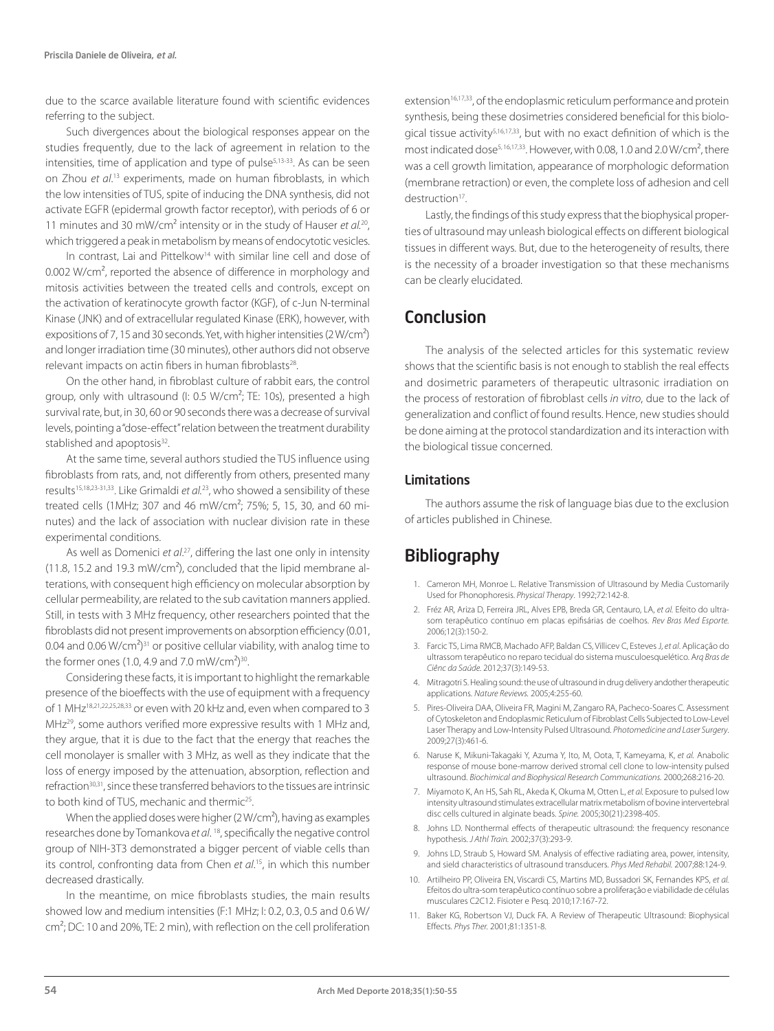due to the scarce available literature found with scientific evidences referring to the subject.

Such divergences about the biological responses appear on the studies frequently, due to the lack of agreement in relation to the intensities, time of application and type of pulse<sup>5,13-33</sup>. As can be seen on Zhou *et al*. 13 experiments, made on human fibroblasts, in which the low intensities of TUS, spite of inducing the DNA synthesis, did not activate EGFR (epidermal growth factor receptor), with periods of 6 or 11 minutes and 30 mW/cm² intensity or in the study of Hauser *et al.*20, which triggered a peak in metabolism by means of endocytotic vesicles.

In contrast, Lai and Pittelkow<sup>14</sup> with similar line cell and dose of 0.002 W/cm², reported the absence of difference in morphology and mitosis activities between the treated cells and controls, except on the activation of keratinocyte growth factor (KGF), of c-Jun N-terminal Kinase (JNK) and of extracellular regulated Kinase (ERK), however, with expositions of 7, 15 and 30 seconds. Yet, with higher intensities (2 W/cm²) and longer irradiation time (30 minutes), other authors did not observe relevant impacts on actin fibers in human fibroblasts<sup>28</sup>.

On the other hand, in fibroblast culture of rabbit ears, the control group, only with ultrasound (I: 0.5 W/cm<sup>2</sup>; TE: 10s), presented a high survival rate, but, in 30, 60 or 90 seconds there was a decrease of survival levels, pointing a "dose-effect" relation between the treatment durability stablished and apoptosis<sup>32</sup>.

At the same time, several authors studied the TUS influence using fibroblasts from rats, and, not differently from others, presented many results15,18,23-31,33. Like Grimaldi *et al.*23, who showed a sensibility of these treated cells (1MHz; 307 and 46 mW/cm²; 75%; 5, 15, 30, and 60 minutes) and the lack of association with nuclear division rate in these experimental conditions.

As well as Domenici *et al*. 27, differing the last one only in intensity (11.8, 15.2 and 19.3 mW/cm<sup>2</sup>), concluded that the lipid membrane alterations, with consequent high efficiency on molecular absorption by cellular permeability, are related to the sub cavitation manners applied. Still, in tests with 3 MHz frequency, other researchers pointed that the fibroblasts did not present improvements on absorption efficiency (0.01, 0.04 and 0.06 W/cm<sup>2</sup> $)$ <sup>31</sup> or positive cellular viability, with analog time to the former ones (1.0, 4.9 and 7.0 mW/cm<sup>2</sup>)<sup>30</sup>.

Considering these facts, it is important to highlight the remarkable presence of the bioeffects with the use of equipment with a frequency of 1 MHz18,21,22,25,28,33 or even with 20 kHz and, even when compared to 3 MHz<sup>29</sup>, some authors verified more expressive results with 1 MHz and, they argue, that it is due to the fact that the energy that reaches the cell monolayer is smaller with 3 MHz, as well as they indicate that the loss of energy imposed by the attenuation, absorption, reflection and refraction30,31, since these transferred behaviors to the tissues are intrinsic to both kind of TUS, mechanic and thermic<sup>25</sup>.

When the applied doses were higher (2 W/cm²), having as examples researches done by Tomankova *et al*. 18, specifically the negative control group of NIH-3T3 demonstrated a bigger percent of viable cells than its control, confronting data from Chen *et al*. 15, in which this number decreased drastically.

In the meantime, on mice fibroblasts studies, the main results showed low and medium intensities (F:1 MHz; I: 0.2, 0.3, 0.5 and 0.6 W/ cm²; DC: 10 and 20%, TE: 2 min), with reflection on the cell proliferation

extension<sup>16,17,33</sup>, of the endoplasmic reticulum performance and protein synthesis, being these dosimetries considered beneficial for this bioloqical tissue activity<sup>5,16,17,33</sup>, but with no exact definition of which is the most indicated dose5, 16,17,33. However, with 0.08, 1.0 and 2.0 W/cm², there was a cell growth limitation, appearance of morphologic deformation (membrane retraction) or even, the complete loss of adhesion and cell destruction<sup>17</sup>.

Lastly, the findings of this study express that the biophysical properties of ultrasound may unleash biological effects on different biological tissues in different ways. But, due to the heterogeneity of results, there is the necessity of a broader investigation so that these mechanisms can be clearly elucidated.

## Conclusion

The analysis of the selected articles for this systematic review shows that the scientific basis is not enough to stablish the real effects and dosimetric parameters of therapeutic ultrasonic irradiation on the process of restoration of fibroblast cells *in vitro*, due to the lack of generalization and conflict of found results. Hence, new studies should be done aiming at the protocol standardization and its interaction with the biological tissue concerned.

#### Limitations

The authors assume the risk of language bias due to the exclusion of articles published in Chinese.

## **Bibliography**

- 1. Cameron MH, Monroe L. Relative Transmission of Ultrasound by Media Customarily Used for Phonophoresis. *Physical Therapy*. 1992;72:142-8.
- 2. Fréz AR, Ariza D, Ferreira JRL, Alves EPB, Breda GR, Centauro, LA, *et al.* Efeito do ultrasom terapêutico contínuo em placas epifisárias de coelhos. *Rev Bras Med Esporte.*  2006;12(3):150-2.
- 3. Farcic TS, Lima RMCB, Machado AFP, Baldan CS, Villicev C, Esteves J, *et al*. Aplicação do ultrassom terapêutico no reparo tecidual do sistema musculoesquelético. A*rq Bras de Ciênc da Saúde.* 2012;37(3):149-53.
- 4. Mitragotri S. Healing sound: the use of ultrasound in drug delivery andother therapeutic applications. *Nature Reviews.* 2005;4:255-60.
- 5. Pires-Oliveira DAA, Oliveira FR, Magini M, Zangaro RA, Pacheco-Soares C. Assessment of Cytoskeleton and Endoplasmic Reticulum of Fibroblast Cells Subjected to Low-Level Laser Therapy and Low-Intensity Pulsed Ultrasound. *Photomedicine and Laser Surgery*. 2009;27(3):461-6.
- 6. Naruse K, Mikuni-Takagaki Y, Azuma Y, Ito, M, Oota, T, Kameyama, K, *et al.* Anabolic response of mouse bone-marrow derived stromal cell clone to low-intensity pulsed ultrasound. *Biochimical and Biophysical Research Communications.* 2000;268:216-20.
- 7. Miyamoto K, An HS, Sah RL, Akeda K, Okuma M, Otten L, *et al.* Exposure to pulsed low intensity ultrasound stimulates extracellular matrix metabolism of bovine intervertebral disc cells cultured in alginate beads. *Spine.* 2005;30(21):2398-405.
- 8. Johns LD. Nonthermal effects of therapeutic ultrasound: the frequency resonance hypothesis. *J Athl Train.* 2002;37(3):293-9.
- 9. Johns LD, Straub S, Howard SM. Analysis of effective radiating area, power, intensity, and sield characteristics of ultrasound transducers. *Phys Med Rehabil.* 2007;88:124-9.
- 10. Artilheiro PP, Oliveira EN, Viscardi CS, Martins MD, Bussadori SK, Fernandes KPS, *et al.*  Efeitos do ultra-som terapêutico contínuo sobre a proliferação e viabilidade de células musculares C2C12. Fisioter e Pesq. 2010;17:167-72.
- 11. Baker KG, Robertson VJ, Duck FA. A Review of Therapeutic Ultrasound: Biophysical Effects. *Phys Ther.* 2001;81:1351-8.